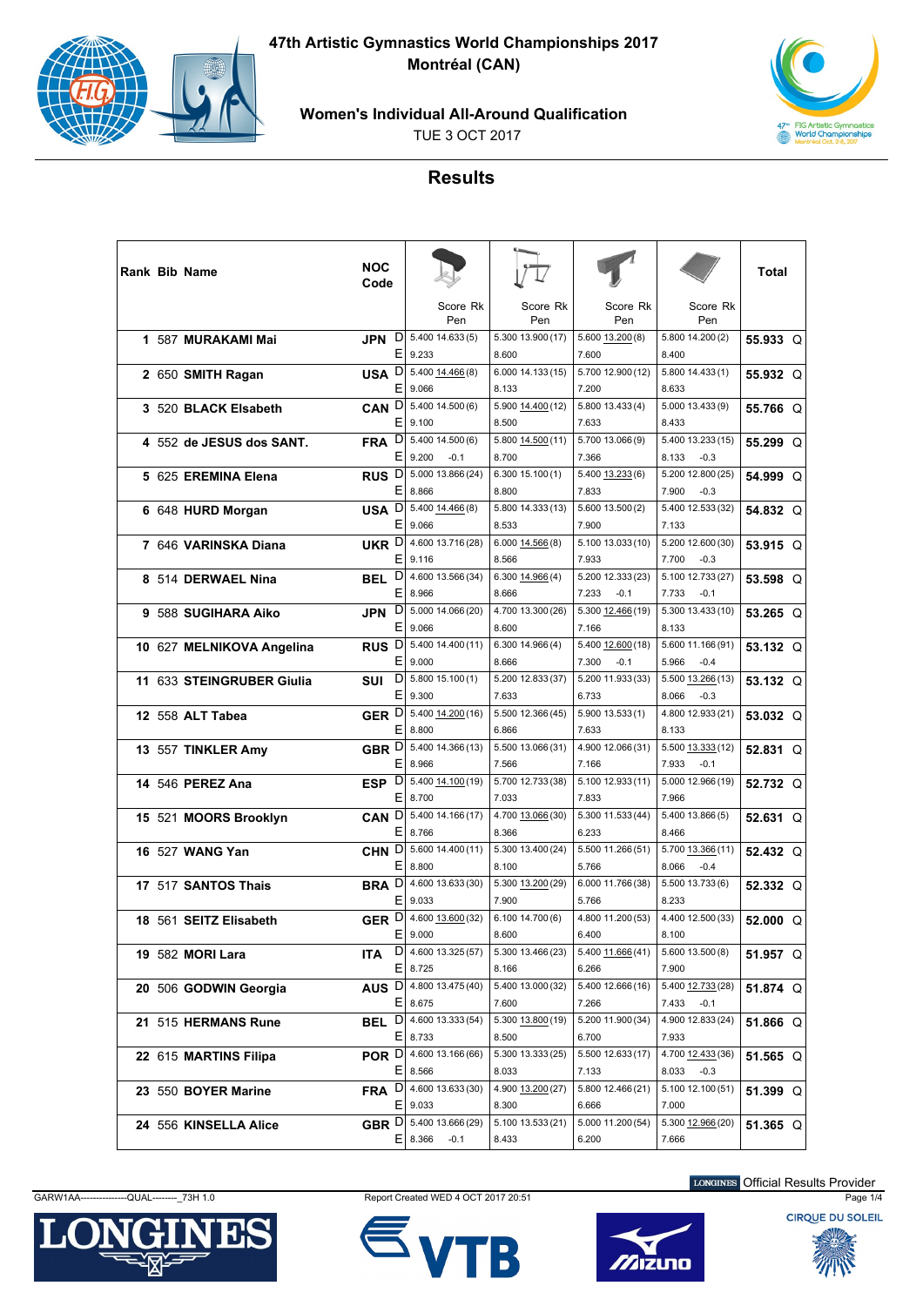



**Women's Individual All-Around Qualification**

TUE 3 OCT 2017



## **Results**

|  | <b>Rank Bib Name</b>      | <b>NOC</b><br>Code      |                            |                            |                              |                                      | Total                |
|--|---------------------------|-------------------------|----------------------------|----------------------------|------------------------------|--------------------------------------|----------------------|
|  |                           |                         | Score Rk<br>Pen            | Score Rk<br>Pen            | Score Rk<br>Pen              | Score Rk<br>Pen                      |                      |
|  | 1 587 MURAKAMI Mai        | D<br>JPN<br>Е           | 5.400 14.633 (5)<br>9.233  | 5.300 13.900 (17)<br>8.600 | $5.600$ $13.200(8)$<br>7.600 | 5.800 14.200 (2)<br>8.400            | $55.933 \quad \circ$ |
|  | 2 650 SMITH Ragan         | USA <sup>D</sup>        | 5.400 14.466 (8)           | 6.000 14.133 (15)          | 5.700 12.900 (12)            | 5.800 14.433 (1)                     | 55.932 Q             |
|  |                           | Е                       | 9.066                      | 8.133                      | 7.200                        | 8.633                                |                      |
|  | 3 520 BLACK Elsabeth      | CAN <sub>D</sub>        | 5.400 14.500 (6)           | 5.900 14.400 (12)          | 5.800 13.433 (4)             | 5.000 13.433 (9)                     | 55.766 Q             |
|  |                           | Ε                       | 9.100                      | 8.500                      | 7.633                        | 8.433                                |                      |
|  | 4 552 de JESUS dos SANT.  | FRA D                   | 5.400 14.500 (6)           | 5.800 14.500 (11)          | 5.700 13.066 (9)             | 5.400 13.233 (15)                    | 55,299 Q             |
|  |                           | E                       | 9.200<br>$-0.1$            | 8.700                      | 7.366                        | 8.133<br>$-0.3$                      |                      |
|  | 5 625 EREMINA Elena       | RUS <sup>D</sup>        | 5.000 13.866 (24)          | 6.30015.100(1)             | 5.400 13.233 (6)             | 5.200 12.800 (25)                    | 54.999 Q             |
|  |                           | Е                       | 8.866                      | 8.800                      | 7.833                        | 7.900<br>$-0.3$                      |                      |
|  | 6 648 HURD Morgan         | USA D                   | 5.400 14.466 (8)           | 5.800 14.333 (13)          | 5.600 13.500 (2)             | 5.400 12.533 (32)                    | 54.832 Q             |
|  |                           | Ε                       | 9.066                      | 8.533                      | 7.900                        | 7.133                                |                      |
|  | 7 646 VARINSKA Diana      | UKR D                   | 4.600 13.716 (28)          | $6.000$ $14.566(8)$        | 5.100 13.033 (10)            | 5.200 12.600 (30)                    | 53.915 Q             |
|  |                           | E                       | 9.116                      | 8.566                      | 7.933                        | 7.700<br>$-0.3$                      |                      |
|  | 8 514 DERWAEL Nina        | BEL <sup>D</sup>        | 4.600 13.566 (34)          | 6.300 14.966 (4)           | 5.200 12.333 (23)            | 5.100 12.733 (27)                    | $53.598$ O           |
|  |                           | Ε                       | 8.966                      | 8.666                      | 7.233<br>$-0.1$              | 7.733<br>$-0.1$                      |                      |
|  | 9 588 SUGIHARA Aiko       | D<br><b>JPN</b>         | 5.000 14.066 (20)          | 4.700 13.300 (26)          | 5.300 12.466 (19)            | 5.300 13.433 (10)                    | $53.265$ O           |
|  |                           | Ε                       | 9.066                      | 8.600                      | 7.166                        | 8.133                                |                      |
|  | 10 627 MELNIKOVA Angelina | RUS <sup>D</sup>        | 5.400 14.400 (11)          | 6.300 14.966 (4)           | 5.400 12.600 (18)            | 5.600 11.166 (91)                    | 53.132 Q             |
|  |                           | E                       | 9.000                      | 8.666                      | 7.300<br>$-0.1$              | 5.966<br>$-0.4$                      |                      |
|  | 11 633 STEINGRUBER Giulia | D<br>SUI                | $5.800$ 15.100(1)          | 5.200 12.833 (37)          | 5.200 11.933 (33)            | 5.500 13.266 (13)                    | 53.132 Q             |
|  |                           | E                       | 9.300                      | 7.633                      | 6.733                        | 8.066<br>$-0.3$                      |                      |
|  | 12 558 ALT Tabea          | GER D<br>Ε              | 5.400 14.200 (16)          | 5.500 12.366 (45)          | 5.900 13.533 (1)             | 4.800 12.933 (21)                    | 53.032 Q             |
|  |                           |                         | 8.800                      | 6.866                      | 7.633                        | 8.133                                |                      |
|  | 13 557 TINKLER Amy        | GBR D<br>E.             | 5.400 14.366 (13)<br>8.966 | 5.500 13.066 (31)<br>7.566 | 4.900 12.066 (31)<br>7.166   | 5.500 13.333 (12)<br>7.933<br>$-0.1$ | 52.831 Q             |
|  |                           |                         | 5.400 14.100 (19)          | 5.700 12.733 (38)          | 5.100 12.933 (11)            | 5.000 12.966 (19)                    |                      |
|  | 14 546 PEREZ Ana          | ESP $\overline{D}$<br>Ε | 8.700                      | 7.033                      | 7.833                        | 7.966                                | 52.732 Q             |
|  |                           | CAN D                   | 5.400 14.166 (17)          | 4.700 13.066 (30)          | 5.300 11.533 (44)            | 5.400 13.866 (5)                     |                      |
|  | 15 521 MOORS Brooklyn     | Ε                       | 8.766                      | 8.366                      | 6.233                        | 8.466                                | 52.631 Q             |
|  | 16 527 WANG Yan           | CHN D                   | 5.600 14.400 (11)          | 5.300 13.400 (24)          | 5.500 11.266 (51)            | 5.700 13.366 (11)                    | 52.432 Q             |
|  |                           | Е                       | 8.800                      | 8.100                      | 5.766                        | 8.066<br>$-0.4$                      |                      |
|  | 17 517 SANTOS Thais       | BRA <sup>D</sup>        | 4.600 13.633 (30)          | 5.300 13.200 (29)          | 6.000 11.766 (38)            | 5.500 13.733(6)                      | 52.332 Q             |
|  |                           | Е                       | 9.033                      | 7.900                      | 5.766                        | 8.233                                |                      |
|  | 18 561 SEITZ Elisabeth    | GER <sup>D</sup>        | 4.600 13.600 (32)          | 6.10014.700(6)             | 4.800 11.200 (53)            | 4.400 12.500 (33)                    | 52.000 Q             |
|  |                           | Ε                       | 9.000                      | 8.600                      | 6.400                        | 8.100                                |                      |
|  | 19 582 MORI Lara          | ITA.                    | $D$   4.600 13.325 (57)    | 5.300 13.466 (23)          | 5.400 11.666 (41)            | 5.600 13.500 (8)                     | 51.957 Q             |
|  |                           | E                       | 8.725                      | 8.166                      | 6.266                        | 7.900                                |                      |
|  | 20 506 GODWIN Georgia     |                         | AUS D 4.800 13.475 (40)    | 5.400 13.000 (32)          | 5.400 12.666 (16)            | 5.400 12.733 (28)                    | 51.874 Q             |
|  |                           | EI                      | 8.675                      | 7.600                      | 7.266                        | 7.433 -0.1                           |                      |
|  | 21 515 HERMANS Rune       | BEL D                   | 4.600 13.333 (54)          | 5.300 13.800 (19)          | 5.200 11.900 (34)            | 4.900 12.833 (24)                    | 51.866 Q             |
|  |                           | ΕI                      | 8.733                      | 8.500                      | 6.700                        | 7.933                                |                      |
|  | 22 615 MARTINS Filipa     | POR D                   | 4.600 13.166 (66)          | 5.300 13.333 (25)          | 5.500 12.633 (17)            | 4.700 12.433 (36)                    | 51.565 Q             |
|  |                           |                         | $E$   8.566                | 8.033                      | 7.133                        | 8.033<br>$-0.3$                      |                      |
|  | 23 550 BOYER Marine       | FRA D                   | 4.600 13.633 (30)          | 4.900 13.200 (27)          | 5.800 12.466 (21)            | 5.100 12.100 (51)                    | 51.399 $Q$           |
|  |                           |                         | $E$   9.033                | 8.300                      | 6.666                        | 7.000                                |                      |
|  | 24 556 KINSELLA Alice     |                         | GBR D 5.400 13.666 (29)    | 5.100 13.533 (21)          | 5.000 11.200 (54)            | 5.300 12.966 (20)                    | 51.365 Q             |
|  |                           |                         | $E$ 8.366<br>$-0.1$        | 8.433                      | 6.200                        | 7.666                                |                      |

GARW1AA---------------QUAL--------\_73H 1.0 Report Created WED 4 OCT 2017 20:51 Page 1/4







LONGINES Official Results Provider

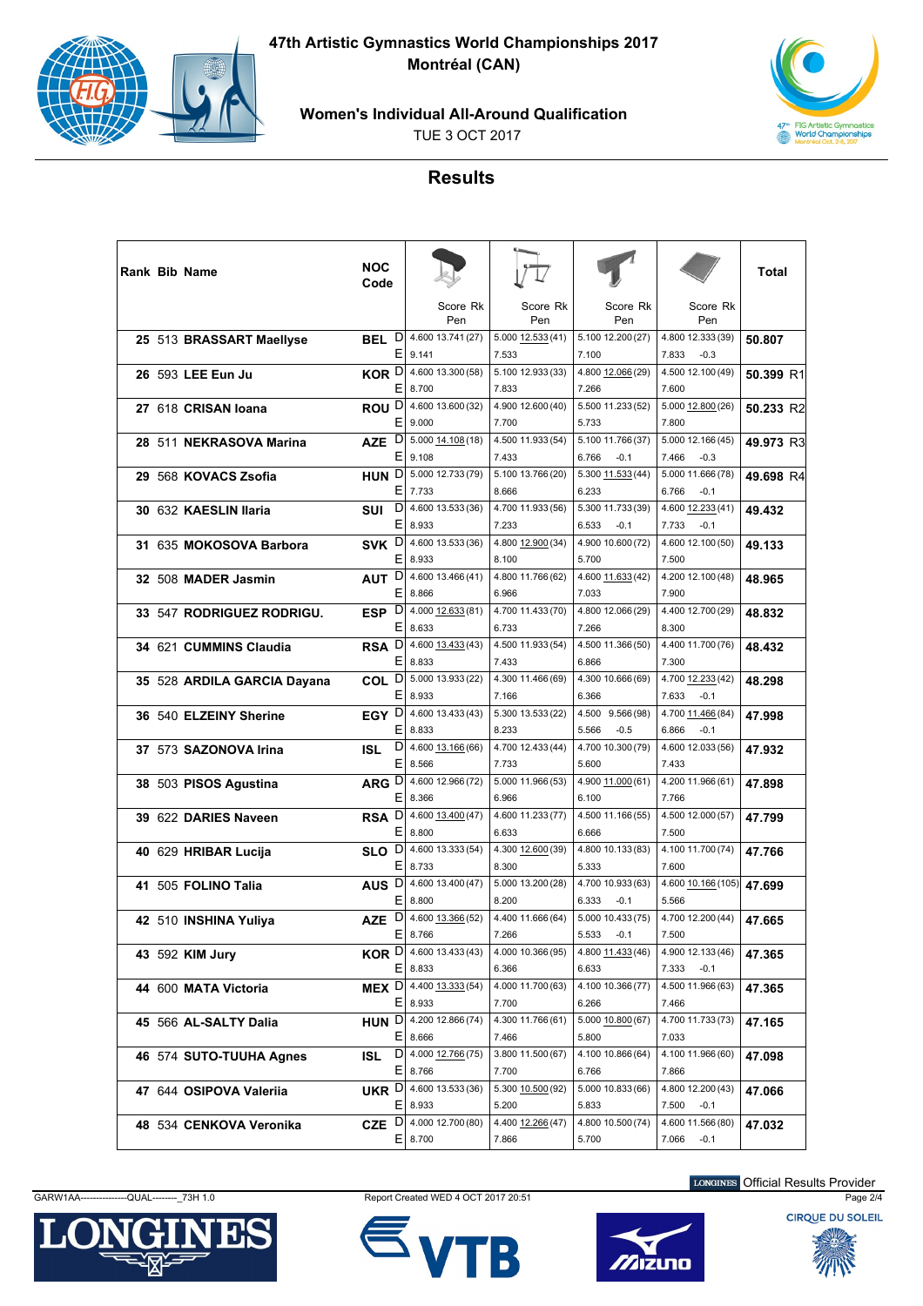

**47th Artistic Gymnastics World Championships 2017 Montréal (CAN)**



**Women's Individual All-Around Qualification**

TUE 3 OCT 2017

## **Results**

| <b>Rank Bib Name</b>        | <b>NOC</b><br>Code    |                                          |                            |                                      |                                      | Total     |
|-----------------------------|-----------------------|------------------------------------------|----------------------------|--------------------------------------|--------------------------------------|-----------|
|                             |                       | Score Rk<br>Pen                          | Score Rk<br>Pen            | Score Rk<br>Pen                      | Score Rk<br>Pen                      |           |
| 25 513 BRASSART Maellyse    | D<br>BEL.<br>Е        | 4.600 13.741 (27)<br>9.141               | 5.000 12.533 (41)<br>7.533 | 5.100 12.200 (27)<br>7.100           | 4.800 12.333 (39)<br>7.833<br>$-0.3$ | 50.807    |
| 26 593 LEE Eun Ju           | KOR <sup>D</sup>      | 4.600 13.300 (58)                        | 5.100 12.933 (33)          | 4.800 12.066 (29)                    | 4.500 12.100 (49)                    | 50.399 R1 |
| 27 618 CRISAN Ioana         | ROU <sup>D</sup>      | E.<br>8.700<br>4.600 13.600 (32)         | 7.833<br>4.900 12.600 (40) | 7.266<br>5.500 11.233 (52)           | 7.600<br>5.000 12.800 (26)           | 50.233 R2 |
|                             | Е                     | 9.000                                    | 7.700                      | 5.733                                | 7.800                                |           |
| 28 511 NEKRASOVA Marina     | D<br><b>AZE</b><br>Ε  | 5.000 14.108 (18)<br>9.108               | 4.500 11.933 (54)<br>7.433 | 5.100 11.766 (37)<br>6.766<br>$-0.1$ | 5.000 12.166 (45)<br>7.466<br>$-0.3$ | 49.973 R3 |
| 29 568 KOVACS Zsofia        | HUN <sup>D</sup>      | 5.000 12.733 (79)                        | 5.100 13.766 (20)          | 5.300 11.533 (44)                    | 5.000 11.666 (78)                    | 49.698 R4 |
|                             |                       | E.<br>7.733                              | 8.666                      | 6.233                                | 6.766<br>$-0.1$                      |           |
| 30 632 KAESLIN Ilaria       | D<br>SUI<br>Е         | 4.600 13.533 (36)<br>8.933               | 4.700 11.933 (56)<br>7.233 | 5.300 11.733 (39)<br>6.533<br>$-0.1$ | 4.600 12.233 (41)<br>7.733<br>$-0.1$ | 49.432    |
| 31 635 MOKOSOVA Barbora     | SVK D                 | 4.600 13.533 (36)                        | 4.800 12.900 (34)          | 4.900 10.600 (72)                    | 4.600 12.100 (50)                    | 49.133    |
| 32 508 MADER Jasmin         | Е<br>AUT <sup>D</sup> | 8.933<br>4.600 13.466 (41)               | 8.100<br>4.800 11.766 (62) | 5.700<br>4.600 11.633 (42)           | 7.500<br>4.200 12.100 (48)           | 48.965    |
|                             |                       | E.<br>8.866                              | 6.966                      | 7.033                                | 7.900                                |           |
| 33 547 RODRIGUEZ RODRIGU.   | ESP $\overline{D}$    | 4.000 12.633 (81)                        | 4.700 11.433 (70)          | 4.800 12.066 (29)                    | 4.400 12.700 (29)                    | 48.832    |
|                             | Е                     | 8.633                                    | 6.733                      | 7.266                                | 8.300                                |           |
| 34 621 CUMMINS Claudia      | RSA D                 | 4.600 13.433 (43)                        | 4.500 11.933 (54)          | 4.500 11.366 (50)                    | 4.400 11.700 (76)                    | 48.432    |
|                             | Ε                     | 8.833                                    | 7.433                      | 6.866                                | 7.300                                |           |
| 35 528 ARDILA GARCIA Dayana | COL <sup>D</sup>      | 5.000 13.933 (22)<br>Е<br>8.933          | 4.300 11.466 (69)<br>7.166 | 4.300 10.666 (69)<br>6.366           | 4.700 12.233 (42)<br>7.633<br>$-0.1$ | 48.298    |
| 36 540 ELZEINY Sherine      | EGY D                 | 4.600 13.433 (43)                        | 5.300 13.533 (22)          | 4.500 9.566 (98)                     | 4.700 11.466 (84)                    | 47.998    |
|                             |                       | E.<br>8.833                              | 8.233                      | $-0.5$<br>5.566                      | 6.866<br>$-0.1$                      |           |
| 37 573 SAZONOVA Irina       | D<br><b>ISL</b>       | 4.600 13.166 (66)                        | 4.700 12.433 (44)          | 4.700 10.300 (79)                    | 4.600 12.033 (56)                    | 47.932    |
|                             | Ε                     | 8.566                                    | 7.733                      | 5.600                                | 7.433                                |           |
| 38 503 PISOS Agustina       | ARG D                 | 4.600 12.966 (72)<br>E.<br>8.366         | 5.000 11.966 (53)<br>6.966 | 4.900 11.000 (61)<br>6.100           | 4.200 11.966 (61)<br>7.766           | 47.898    |
| 39 622 DARIES Naveen        | RSA <sup>D</sup>      | 4.600 13.400 (47)                        | 4.600 11.233 (77)          | 4.500 11.166 (55)                    | 4.500 12.000 (57)                    | 47.799    |
|                             | Е                     | 8.800                                    | 6.633                      | 6.666                                | 7.500                                |           |
| 40 629 HRIBAR Lucija        | SLO <sup>D</sup>      | 4.600 13.333 (54)                        | 4.300 12.600 (39)          | 4.800 10.133 (83)                    | 4.100 11.700 (74)                    | 47.766    |
|                             | Ε                     | 8.733                                    | 8.300                      | 5.333                                | 7.600                                |           |
| 41 505 FOLINO Talia         | AUS <sup>D</sup>      | 4.600 13.400 (47)                        | 5.000 13.200 (28)          | 4.700 10.933 (63)                    | 4.600 10.166 (105)                   | 47.699    |
|                             | Е                     | 8.800                                    | 8.200                      | 6.333<br>$-0.1$                      | 5.566                                |           |
| 42 510 INSHINA Yuliya       | D<br>AZE              | 4.600 13.366 (52)                        | 4.400 11.666 (64)          | 5.000 10.433 (75)                    | 4.700 12.200 (44)                    | 47.665    |
|                             |                       | Е<br>8.766                               | 7.266                      | $5.533 -0.1$                         | 7.500                                |           |
| 43 592 KIM Jury             |                       | <b>KOR</b> $D$ 4.600 13.433 (43)         | 4.000 10.366 (95)          | 4.800 11.433 (46)                    | 4.900 12.133 (46)                    | 47.365    |
|                             |                       | $E$ 8.833                                | 6.366                      | 6.633                                | 7.333<br>$-0.1$                      |           |
| 44 600 MATA Victoria        |                       | MEX $D$ 4.400 13.333 (54)<br>$E$   8.933 | 4.000 11.700 (63)<br>7.700 | 4.100 10.366 (77)<br>6.266           | 4.500 11.966 (63)<br>7.466           | 47.365    |
| 45 566 AL-SALTY Dalia       |                       | HUN D 4.200 12.866 (74)                  | 4.300 11.766 (61)          | 5.000 10.800 (67)                    | 4.700 11.733 (73)                    | 47.165    |
|                             |                       | ΕI<br>8.666                              | 7.466                      | 5.800                                | 7.033                                |           |
| 46 574 SUTO-TUUHA Agnes     | D<br>ISL              | 4.000 12.766 (75)                        | 3.800 11.500 (67)          | 4.100 10.866 (64)                    | 4.100 11.966 (60)                    | 47.098    |
|                             |                       | $E$ 8.766                                | 7.700                      | 6.766                                | 7.866                                |           |
| 47 644 OSIPOVA Valerija     |                       | <b>UKR</b> $D$ 4.600 13.533 (36)         | 5.300 10.500 (92)          | 5.000 10.833 (66)                    | 4.800 12.200 (43)                    | 47.066    |
|                             |                       | $E$   8.933                              | 5.200                      | 5.833                                | 7.500<br>$-0.1$                      |           |
| 48 534 CENKOVA Veronika     |                       | CZE $D$ 4.000 12.700 (80)                | 4.400 12.266 (47)          | 4.800 10.500 (74)                    | 4.600 11.566 (80)                    | 47.032    |
|                             |                       | E<br>8.700                               | 7.866                      | 5.700                                | 7.066<br>$-0.1$                      |           |









LONGINES Official Results Provider

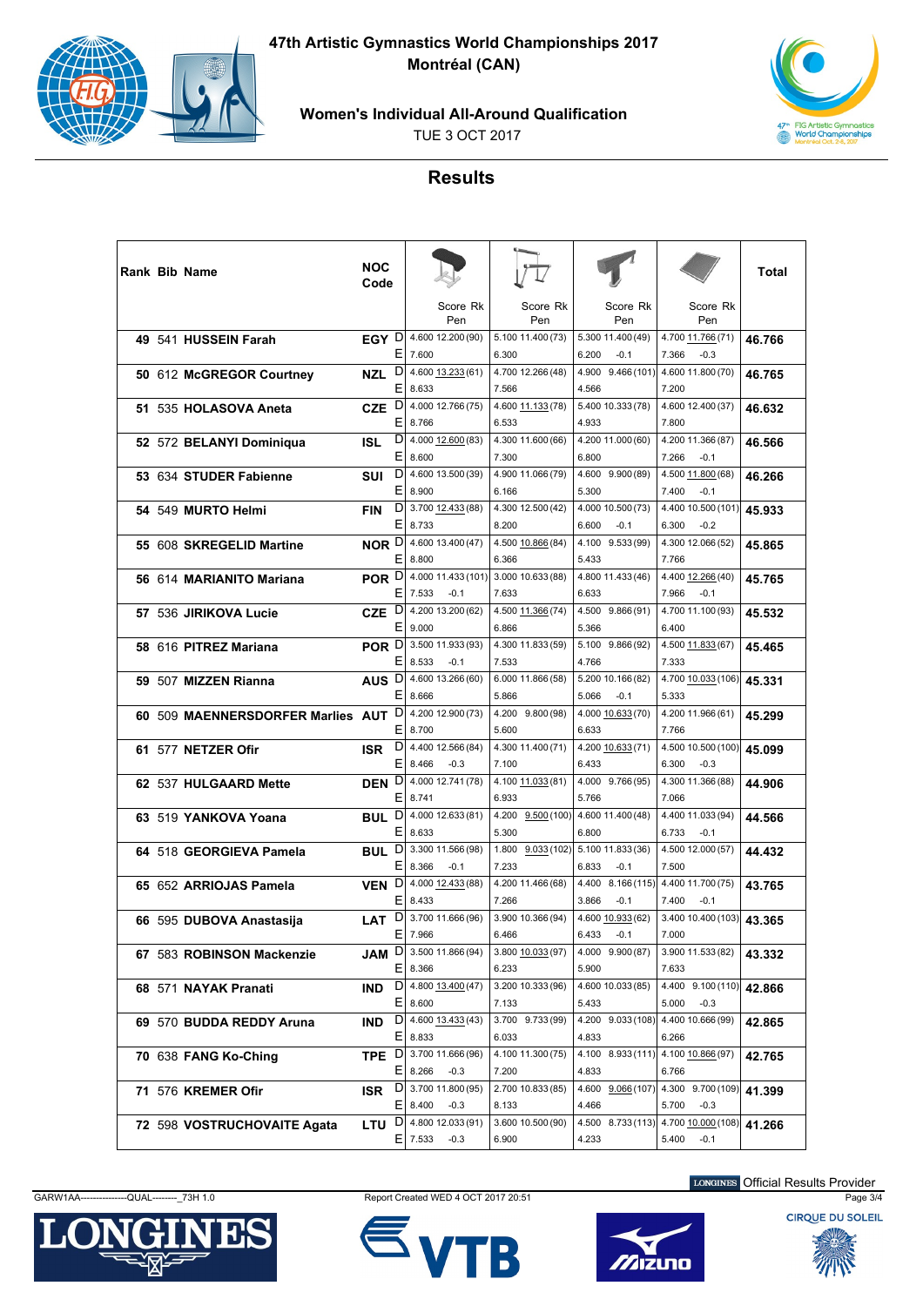

**47th Artistic Gymnastics World Championships 2017 Montréal (CAN)**

**Women's Individual All-Around Qualification**

TUE 3 OCT 2017



## **Results**

|     | <b>Rank Bib Name</b>           | <b>NOC</b><br>Code |        |                                                           |                                              |                                              |                                       | Total  |
|-----|--------------------------------|--------------------|--------|-----------------------------------------------------------|----------------------------------------------|----------------------------------------------|---------------------------------------|--------|
|     |                                |                    |        | Score Rk<br>Pen                                           | Score Rk<br>Pen                              | Score Rk<br>Pen                              | Score Rk<br>Pen                       |        |
|     | 49 541 HUSSEIN Farah           | EGY D              | Е      | 4.600 12.200 (90)<br>7.600                                | 5.100 11.400 (73)<br>6.300                   | 5.300 11.400 (49)<br>6.200<br>$-0.1$         | 4.700 11.766 (71)<br>7.366<br>$-0.3$  | 46.766 |
|     | 50 612 McGREGOR Courtney       | <b>NZL</b>         | D<br>Ε | 4.600 13.233 (61)<br>8.633                                | 4.700 12.266 (48)<br>7.566                   | 4.900 9.466 (101)<br>4.566                   | 4.600 11.800 (70)<br>7.200            | 46.765 |
|     | 51 535 HOLASOVA Aneta          | <b>CZE</b>         | D<br>Ε | 4.000 12.766 (75)<br>8.766                                | 4.600 11.133 (78)<br>6.533                   | 5.400 10.333 (78)<br>4.933                   | 4.600 12.400 (37)<br>7.800            | 46.632 |
|     | 52 572 BELANYI Dominiqua       | ISL                | D<br>Е | 4.000 12.600 (83)<br>8.600                                | 4.300 11.600 (66)<br>7.300                   | 4.200 11.000 (60)<br>6.800                   | 4.200 11.366 (87)<br>7.266<br>$-0.1$  | 46.566 |
|     | 53 634 STUDER Fabienne         | SUI                | D<br>Ε | 4.600 13.500 (39)<br>8.900                                | 4.900 11.066 (79)<br>6.166                   | 4.600 9.900 (89)<br>5.300                    | 4.500 11.800 (68)<br>7.400<br>$-0.1$  | 46.266 |
|     | 54 549 MURTO Helmi             | <b>FIN</b>         | D<br>Ε | 3.700 12.433 (88)<br>8.733                                | 4.300 12.500 (42)<br>8.200                   | 4.000 10.500 (73)<br>6.600<br>$-0.1$         | 4.400 10.500 (101)<br>6.300<br>$-0.2$ | 45.933 |
|     | 55 608 SKREGELID Martine       | NOR D              | Е      | 4.600 13.400 (47)<br>8.800                                | 4.500 10.866 (84)<br>6.366                   | 4.100 9.533 (99)<br>5.433                    | 4.300 12.066 (52)<br>7.766            | 45.865 |
|     | 56 614 MARIANITO Mariana       | POR <sup>D</sup>   | Ε      | 4.000 11.433 (101)<br>7.533<br>$-0.1$                     | 3.000 10.633 (88)<br>7.633                   | 4.800 11.433 (46)<br>6.633                   | 4.400 12.266 (40)<br>7.966<br>$-0.1$  | 45.765 |
|     | 57 536 JIRIKOVA Lucie          | <b>CZE</b>         | D<br>Ε | 4.200 13.200 (62)<br>9.000                                | 4.500 11.366 (74)<br>6.866                   | 4.500 9.866 (91)<br>5.366                    | 4.700 11.100 (93)<br>6.400            | 45.532 |
|     | 58 616 PITREZ Mariana          | POR D              | Е      | 3.500 11.933 (93)<br>8.533<br>$-0.1$                      | 4.300 11.833 (59)<br>7.533                   | 5.100 9.866 (92)<br>4.766                    | 4.500 11.833 (67)<br>7.333            | 45.465 |
|     | 59 507 MIZZEN Rianna           | AUS <sub>D</sub>   | Ε      | 4.600 13.266 (60)<br>8.666                                | 6.000 11.866 (58)<br>5.866                   | 5.200 10.166 (82)<br>5.066<br>$-0.1$         | 4.700 10.033 (106)<br>5.333           | 45.331 |
| 60. | 509 MAENNERSDORFER Marlies AUT |                    | D<br>Ε | 4.200 12.900 (73)<br>8.700                                | 4.200 9.800 (98)<br>5.600                    | 4.000 10.633 (70)<br>6.633                   | 4.200 11.966 (61)<br>7.766            | 45.299 |
|     | 61 577 NETZER Ofir             | <b>ISR</b>         | D<br>Е | 4.400 12.566 (84)<br>8.466<br>$-0.3$                      | 4.300 11.400 (71)<br>7.100                   | 4.200 10.633 (71)<br>6.433                   | 4.500 10.500 (100)<br>6.300<br>$-0.3$ | 45,099 |
|     | 62 537 HULGAARD Mette          | DEN <sup>D</sup>   | Ε      | 4.000 12.741 (78)<br>8.741                                | 4.100 11.033 (81)<br>6.933                   | 4.000 9.766 (95)<br>5.766                    | 4.300 11.366 (88)<br>7.066            | 44.906 |
|     | 63 519 YANKOVA Yoana           | <b>BUL</b>         | D<br>Ε | 4.000 12.633 (81)<br>8.633                                | 4.200 9.500 (100)<br>5.300                   | 4.600 11.400 (48)<br>6.800                   | 4.400 11.033 (94)<br>6.733<br>$-0.1$  | 44.566 |
|     | 64 518 GEORGIEVA Pamela        | BUL D              | Е      | 3.300 11.566 (98)<br>8.366<br>$-0.1$                      | 1.800 9.033 (102) 5.100 11.833 (36)<br>7.233 | 6.833<br>$-0.1$                              | 4.500 12.000 (57)<br>7.500            | 44.432 |
|     | 65 652 ARRIOJAS Pamela         | VEN D              | Ε      | 4.000 12.433 (88)<br>8.433                                | 4.200 11.466 (68)<br>7.266                   | 4.400 8.166 (115)<br>3.866<br>$-0.1$         | 4.400 11.700 (75)<br>7.400<br>$-0.1$  | 43.765 |
|     | 66 595 DUBOVA Anastasija       | LAT                | D<br>Ε | 3.700 11.666 (96)<br>7.966                                | 3.900 10.366 (94)<br>6.466                   | 4.600 10.933 (62)<br>6.433<br>$-0.1$         | 3.400 10.400 (103)<br>7.000           | 43.365 |
|     | 67 583 ROBINSON Mackenzie      |                    |        | <b>JAM</b> $D$ 3.500 11.866 (94)<br>$E$ 8.366             | 3.800 10.033 (97)<br>6.233                   | 4.000 9.900 (87)<br>5.900                    | 3.900 11.533 (82)<br>7.633            | 43.332 |
|     | 68 571 NAYAK Pranati           |                    |        | <b>IND</b> $D$ 4.800 13.400 (47)<br>$E$   8.600           | 3.200 10.333 (96)<br>7.133                   | 4.600 10.033 (85)<br>5.433                   | 4.400 9.100 (110)<br>$5.000 -0.3$     | 42.866 |
|     | 69 570 BUDDA REDDY Aruna       | IND                |        | $D$ 4.600 13.433 (43)<br>$E$   8.833                      | 3.700 9.733 (99)<br>6.033                    | 4.200 9.033 (108)<br>4.833                   | 4.400 10.666 (99)<br>6.266            | 42.865 |
|     | 70 638 FANG Ko-Ching           | TPE D              |        | 3.700 11.666 (96)<br>$E$   8.266<br>$-0.3$                | 4.100 11.300 (75)<br>7.200                   | 4.100 8.933 (111) 4.100 10.866 (97)<br>4.833 | 6.766                                 | 42.765 |
|     | 71 576 KREMER Ofir             |                    |        | <b>ISR</b> $D 3.700 11.800 (95)$<br>$E$   8.400<br>$-0.3$ | 2.700 10.833 (85)<br>8.133                   | 4.600 9.066 (107)<br>4.466                   | 4.300 9.700 (109)<br>5.700<br>$-0.3$  | 41.399 |
|     | 72 598 VOSTRUCHOVAITE Agata    |                    |        | <b>LTU</b> $D$ 4.800 12.033 (91)<br>$E$ 7.533<br>$-0.3$   | 3.600 10.500 (90)<br>6.900                   | 4.500 8.733 (113)<br>4.233                   | 4.700 10.000 (108)<br>5.400<br>$-0.1$ | 41.266 |

GARW1AA---------------QUAL--------\_73H 1.0 Report Created WED 4 OCT 2017 20:51 Page 3/4







LONGINES Official Results Provider